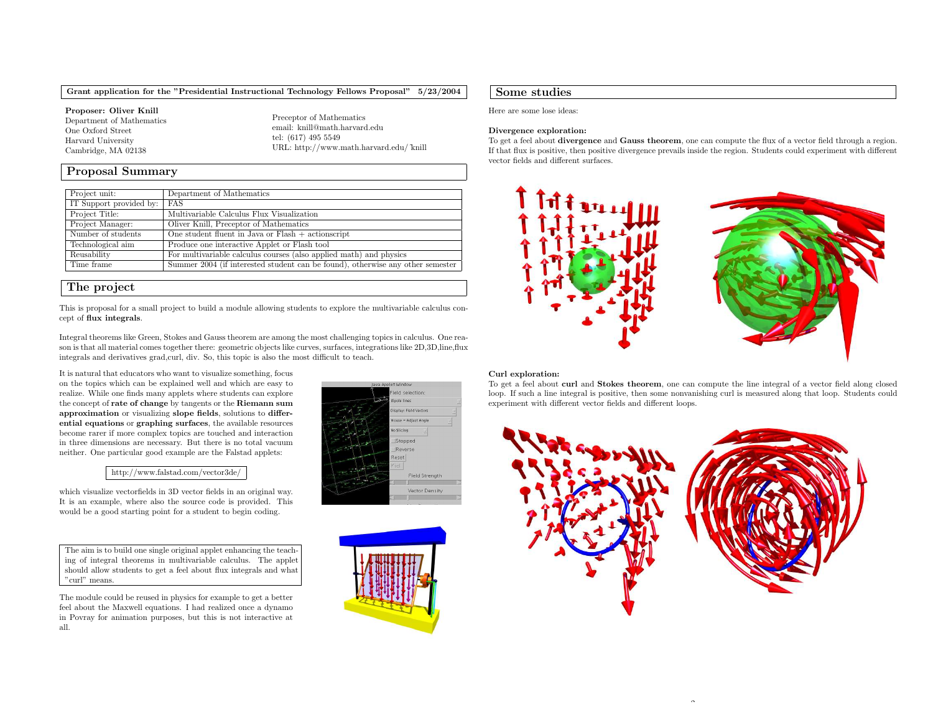Grant application for the "Presidential Instructional Technology Fellows Proposal" 5/23/2004

Proposer: Oliver Knill Department of Mathematics One Oxford Street Harvard University Cambridge, MA 02138

Preceptor of Mathematics email: knill@math.harvard.edutel: (617) <sup>495</sup> <sup>5549</sup> URL: http://www.math.harvard.edu/˜knill

# Proposal Summary

| Project unit:           | Department of Mathematics                                                      |
|-------------------------|--------------------------------------------------------------------------------|
| IT Support provided by: | FAS                                                                            |
| Project Title:          | Multivariable Calculus Flux Visualization                                      |
| Project Manager:        | Oliver Knill, Preceptor of Mathematics                                         |
| Number of students      | One student fluent in Java or $Flash + \text{actionscript}$                    |
| Technological aim       | Produce one interactive Applet or Flash tool                                   |
| Reusability             | For multivariable calculus courses (also applied math) and physics             |
| Time frame              | Summer 2004 (if interested student can be found), otherwise any other semester |

# The project

This is proposal for <sup>a</sup> small project to build <sup>a</sup> module allowing students to explore the multivariable calculus concept of flux integrals.

Integral theorems like Green, Stokes and Gauss theorem are among the most challenging topics in calculus. One reason is that all material comes together there: geometric objects like curves, surfaces, integrations like 2D,3D,line,flux integrals and derivatives grad,curl, div. So, this topic is also the most difficult to teach.

It is natural that educators who want to visualize something, focus on the topics which can be explained well and which are easy to realize. While one finds many applets where students can explore the concept of **rate of change** by tangents or the **Riemann sum** approximation or visualizing slope fields, solutions to differential equations or graphing surfaces, the available resources become rarer if more complex topics are touched and interaction in three dimensions are necessary. But there is no total vacuum neither. One particular good example are the Falstad applets:

### http://www.falstad.com/vector3de/

which visualize vectorfields in 3D vector fields in an original way. It is an example, where also the source code is provided. This would be <sup>a</sup> good starting point for <sup>a</sup> student to begin coding.

The aim is to build one single original applet enhancing the teaching of integral theorems in multivariable calculus. The applet should allow students to get <sup>a</sup> feel about flux integrals and what "curl" means.

The module could be reused in <sup>p</sup>hysics for example to get <sup>a</sup> better feel about the Maxwell equations. I had realized once <sup>a</sup> dynamo in Povray for animation purposes, but this is not interactive at all.





## Some studies

Here are some lose ideas:

#### Divergence exploration:

To get a feel about **divergence** and **Gauss theorem**, one can compute the flux of a vector field through a region. If that flux is positive, then positive divergence prevails inside the region. Students could experiment with different vector fields and different surfaces.



#### Curl exploration:

To get a feel about **curl** and **Stokes theorem**, one can compute the line integral of a vector field along closed loop. If such <sup>a</sup> line integral is positive, then some nonvanishing curl is measured along that loop. Students could experiment with different vector fields and different loops.



 $\overline{\phantom{a}}$